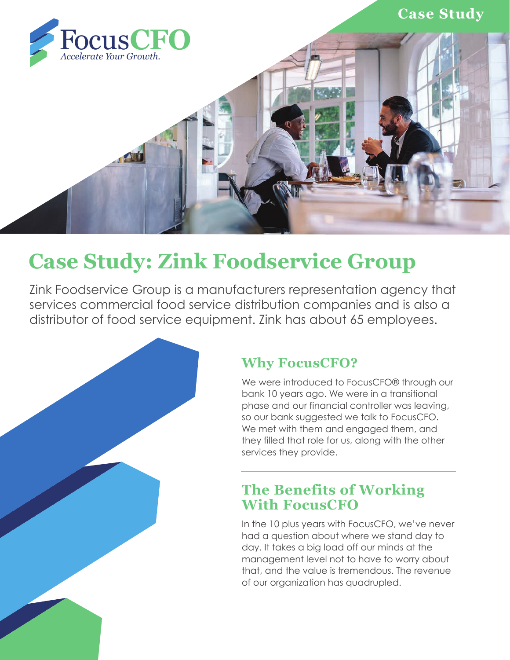

## **Case Study: Zink Foodservice Group**

Zink Foodservice Group is a manufacturers representation agency that services commercial food service distribution companies and is also a distributor of food service equipment. Zink has about 65 employees.



We were introduced to FocusCFO® through our bank 10 years ago. We were in a transitional phase and our financial controller was leaving, so our bank suggested we talk to FocusCFO. We met with them and engaged them, and they filled that role for us, along with the other services they provide.

## **The Benefits of Working With FocusCFO**

In the 10 plus years with FocusCFO, we've never had a question about where we stand day to day. It takes a big load off our minds at the management level not to have to worry about that, and the value is tremendous. The revenue of our organization has quadrupled.